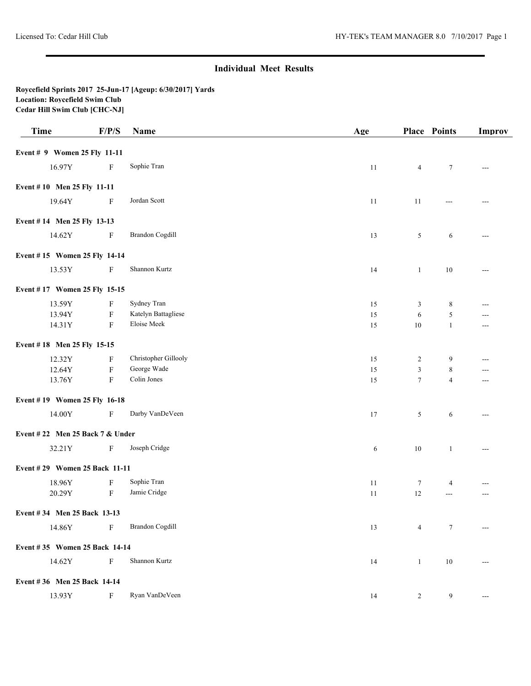## **Individual Meet Results**

## **Roycefield Sprints 2017 25-Jun-17 [Ageup: 6/30/2017] Yards Location: Roycefield Swim Club Cedar Hill Swim Club [CHC-NJ]**

| <b>Time</b>                     | F/P/S                     | Name                   | Age        |                 | <b>Place Points</b> | <b>Improv</b>         |
|---------------------------------|---------------------------|------------------------|------------|-----------------|---------------------|-----------------------|
| Event # 9 Women 25 Fly 11-11    |                           |                        |            |                 |                     |                       |
| 16.97Y                          | $\mathbf F$               | Sophie Tran            | 11         | $\overline{4}$  | $\tau$              | $\sim$ $\sim$         |
| Event #10 Men 25 Fly 11-11      |                           |                        |            |                 |                     |                       |
| 19.64Y                          | F                         | Jordan Scott           | 11         | 11              | ---                 | $---$                 |
| Event #14 Men 25 Fly 13-13      |                           |                        |            |                 |                     |                       |
| 14.62Y                          | $\mathbf F$               | <b>Brandon Cogdill</b> | 13         | $5\overline{)}$ | 6                   | $\cdots$              |
| Event #15 Women 25 Fly 14-14    |                           |                        |            |                 |                     |                       |
| 13.53Y                          | $\mathbf F$               | Shannon Kurtz          | 14         | $\mathbf{1}$    | $10\,$              | $---$                 |
| Event #17 Women 25 Fly 15-15    |                           |                        |            |                 |                     |                       |
| 13.59Y                          | F                         | Sydney Tran            | 15         | 3               | $\,8\,$             | $\cdots$              |
| 13.94Y                          | $\mathbf F$               | Katelyn Battagliese    | 15         | 6               | $\sqrt{5}$          | ---                   |
| 14.31Y                          | $\rm F$                   | Eloise Meek            | 15         | $10\,$          | $\mathbf{1}$        | ---                   |
| Event #18 Men 25 Fly 15-15      |                           |                        |            |                 |                     |                       |
| 12.32Y                          | $\boldsymbol{\mathrm{F}}$ | Christopher Gillooly   | 15         | $\overline{c}$  | 9                   | ---                   |
| 12.64Y                          | $\mathbf F$               | George Wade            | 15         | 3               | 8                   | ---                   |
| 13.76Y                          | $\mathbf F$               | Colin Jones            | 15         | $\tau$          | $\overline{4}$      | $\cdots$              |
| Event #19 Women 25 Fly 16-18    |                           |                        |            |                 |                     |                       |
| 14.00Y                          | $\mathbf F$               | Darby VanDeVeen        | 17         | 5               | 6                   | $\scriptstyle \cdots$ |
| Event #22 Men 25 Back 7 & Under |                           |                        |            |                 |                     |                       |
| 32.21Y                          | $\mathbf{F}$              | Joseph Cridge          | $\sqrt{6}$ | $10\,$          | $\mathbf{1}$        | $\cdots$              |
| Event #29 Women 25 Back 11-11   |                           |                        |            |                 |                     |                       |
| 18.96Y                          | F                         | Sophie Tran            | 11         | $\tau$          | $\overline{4}$      | $---$                 |
| 20.29Y                          | $\rm F$                   | Jamie Cridge           | 11         | 12              | $\sim$ $\sim$       | $---$                 |
| Event #34 Men 25 Back 13-13     |                           |                        |            |                 |                     |                       |
| 14.86Y                          | $\mathbf{F}$              | <b>Brandon Cogdill</b> | 13         | 4               | 7                   | ---                   |
| Event #35 Women 25 Back 14-14   |                           |                        |            |                 |                     |                       |
| 14.62Y                          | $\mathbf F$               | Shannon Kurtz          | 14         | $\mathbf{1}$    | $10\,$              | ---                   |
| Event #36 Men 25 Back 14-14     |                           |                        |            |                 |                     |                       |
| 13.93Y                          | $\boldsymbol{\mathrm{F}}$ | Ryan VanDeVeen         | 14         | 2               | 9                   | $\scriptstyle \cdots$ |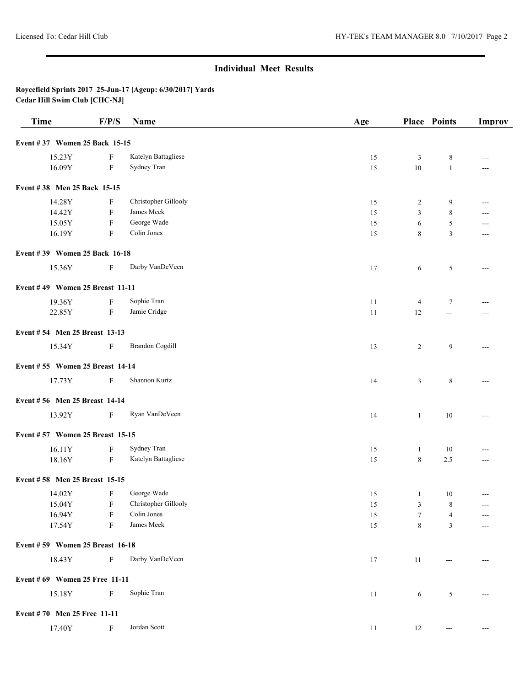## **Individual Meet Results**

**Roycefield Sprints 2017 25-Jun-17 [Ageup: 6/30/2017] Yards Cedar Hill Swim Club [CHC-NJ]**

| <b>Time</b>                     | F/P/S        | Name                   | Age    |                | <b>Place Points</b>   | <b>Improv</b>  |
|---------------------------------|--------------|------------------------|--------|----------------|-----------------------|----------------|
| Event #37 Women 25 Back 15-15   |              |                        |        |                |                       |                |
| 15.23Y                          | F            | Katelyn Battagliese    | 15     | 3              | 8                     | $---$          |
| 16.09Y                          | F            | Sydney Tran            | 15     | $10\,$         | $\mathbf{1}$          | ---            |
| Event #38 Men 25 Back 15-15     |              |                        |        |                |                       |                |
| 14.28Y                          | F            | Christopher Gillooly   | 15     | $\overline{c}$ | 9                     | ---            |
| 14.42Y                          | F            | James Meek             | 15     | 3              | 8                     | ---            |
| 15.05Y                          | $\mathbf F$  | George Wade            | 15     | 6              | 5                     | $---$          |
| 16.19Y                          | $\mathbf{F}$ | Colin Jones            | 15     | 8              | 3                     | ---            |
| Event #39 Women 25 Back 16-18   |              |                        |        |                |                       |                |
| 15.36Y                          | F            | Darby VanDeVeen        | 17     | 6              | 5                     | $---$          |
| Event #49 Women 25 Breast 11-11 |              |                        |        |                |                       |                |
| 19.36Y                          | F            | Sophie Tran            | 11     | $\overline{4}$ | $\tau$                | ---            |
| 22.85Y                          | $\mathbf F$  | Jamie Cridge           | 11     | 12             | $\overline{a}$        | $\overline{a}$ |
| Event #54 Men 25 Breast 13-13   |              |                        |        |                |                       |                |
| 15.34Y                          | F            | <b>Brandon Cogdill</b> | 13     | $\overline{2}$ | 9                     | $---$          |
| Event #55 Women 25 Breast 14-14 |              |                        |        |                |                       |                |
| 17.73Y                          | F            | Shannon Kurtz          | 14     | 3              | 8                     | $---$          |
| Event #56 Men 25 Breast 14-14   |              |                        |        |                |                       |                |
| 13.92Y                          | $\mathbf{F}$ | Ryan VanDeVeen         | 14     | $\mathbf{1}$   | $10\,$                | ---            |
| Event #57 Women 25 Breast 15-15 |              |                        |        |                |                       |                |
| 16.11Y                          | F            | Sydney Tran            | 15     | 1              | 10                    | $---$          |
| 18.16Y                          | F            | Katelyn Battagliese    | 15     | 8              | 2.5                   | ---            |
| Event #58 Men 25 Breast 15-15   |              |                        |        |                |                       |                |
| 14.02Y                          | F            | George Wade            | 15     | $\mathbf{1}$   | 10                    | $\overline{a}$ |
| 15.04Y                          | $\mathbf{F}$ | Christopher Gillooly   | 15     | 3 <sup>7</sup> | $\,$ 8 $\,$           |                |
| 16.94Y                          | F            | Colin Jones            | 15     | $\tau$         | $\overline{4}$        | $---$          |
| 17.54Y                          | F            | James Meek             | $15\,$ | 8              | 3                     | ---            |
| Event #59 Women 25 Breast 16-18 |              |                        |        |                |                       |                |
| 18.43Y                          | $\mathbf F$  | Darby VanDeVeen        | 17     | 11             | $---$                 | $---$          |
| Event #69 Women 25 Free 11-11   |              |                        |        |                |                       |                |
| 15.18Y                          | $\mathbf F$  | Sophie Tran            | 11     | 6              | 5                     | $---$          |
| Event #70 Men 25 Free 11-11     |              |                        |        |                |                       |                |
| 17.40Y                          | $\mathbf{F}$ | Jordan Scott           | $11\,$ | 12             | $\scriptstyle \cdots$ | $---$          |